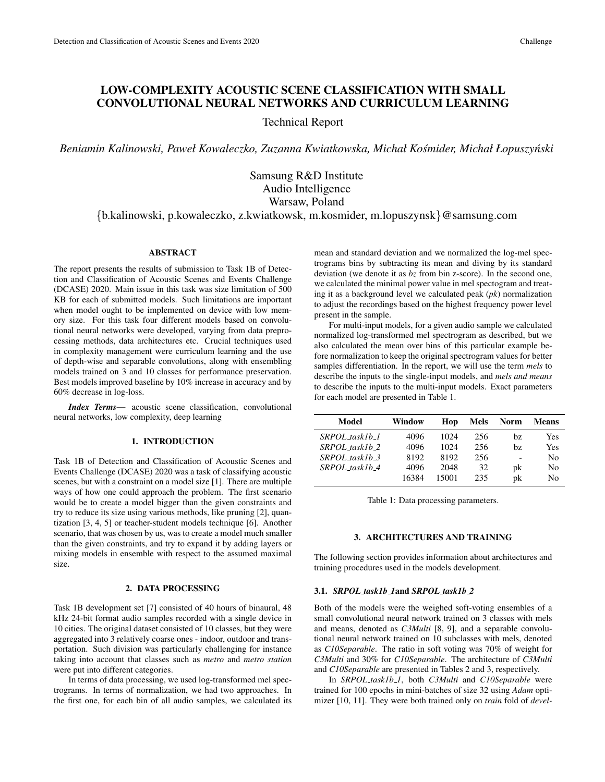# LOW-COMPLEXITY ACOUSTIC SCENE CLASSIFICATION WITH SMALL CONVOLUTIONAL NEURAL NETWORKS AND CURRICULUM LEARNING

Technical Report

*Beniamin Kalinowski, Paweł Kowaleczko, Zuzanna Kwiatkowska, Michał Kosmider, Michał Łopuszy ´ nski ´*

Samsung R&D Institute Audio Intelligence Warsaw, Poland {b.kalinowski, p.kowaleczko, z.kwiatkowsk, m.kosmider, m.lopuszynsk}@samsung.com

# ABSTRACT

The report presents the results of submission to Task 1B of Detection and Classification of Acoustic Scenes and Events Challenge (DCASE) 2020. Main issue in this task was size limitation of 500 KB for each of submitted models. Such limitations are important when model ought to be implemented on device with low memory size. For this task four different models based on convolutional neural networks were developed, varying from data preprocessing methods, data architectures etc. Crucial techniques used in complexity management were curriculum learning and the use of depth-wise and separable convolutions, along with ensembling models trained on 3 and 10 classes for performance preservation. Best models improved baseline by 10% increase in accuracy and by 60% decrease in log-loss.

*Index Terms*— acoustic scene classification, convolutional neural networks, low complexity, deep learning

# 1. INTRODUCTION

Task 1B of Detection and Classification of Acoustic Scenes and Events Challenge (DCASE) 2020 was a task of classifying acoustic scenes, but with a constraint on a model size [1]. There are multiple ways of how one could approach the problem. The first scenario would be to create a model bigger than the given constraints and try to reduce its size using various methods, like pruning [2], quantization [3, 4, 5] or teacher-student models technique [6]. Another scenario, that was chosen by us, was to create a model much smaller than the given constraints, and try to expand it by adding layers or mixing models in ensemble with respect to the assumed maximal size.

### 2. DATA PROCESSING

Task 1B development set [7] consisted of 40 hours of binaural, 48 kHz 24-bit format audio samples recorded with a single device in 10 cities. The original dataset consisted of 10 classes, but they were aggregated into 3 relatively coarse ones - indoor, outdoor and transportation. Such division was particularly challenging for instance taking into account that classes such as *metro* and *metro station* were put into different categories.

In terms of data processing, we used log-transformed mel spectrograms. In terms of normalization, we had two approaches. In the first one, for each bin of all audio samples, we calculated its mean and standard deviation and we normalized the log-mel spectrograms bins by subtracting its mean and diving by its standard deviation (we denote it as *bz* from bin z-score). In the second one, we calculated the minimal power value in mel spectogram and treating it as a background level we calculated peak (*pk*) normalization to adjust the recordings based on the highest frequency power level present in the sample.

For multi-input models, for a given audio sample we calculated normalized log-transformed mel spectrogram as described, but we also calculated the mean over bins of this particular example before normalization to keep the original spectrogram values for better samples differentiation. In the report, we will use the term *mels* to describe the inputs to the single-input models, and *mels and means* to describe the inputs to the multi-input models. Exact parameters for each model are presented in Table 1.

| Model             | Window | Hop   | Mels | <b>Norm</b> | <b>Means</b> |
|-------------------|--------|-------|------|-------------|--------------|
| SRPOL_task1b_1    | 4096   | 1024  | 256  | bz.         | Yes          |
| $SRPOL\_tasklb_2$ | 4096   | 1024  | 256  | bz.         | Yes          |
| $SRPOLtasklb-3$   | 8192   | 8192  | 256  |             | No           |
| $SRPOLtasklb-4$   | 4096   | 2048  | 32   | pk          | No           |
|                   | 16384  | 15001 | 235  | pk          | No           |

Table 1: Data processing parameters.

# 3. ARCHITECTURES AND TRAINING

The following section provides information about architectures and training procedures used in the models development.

# 3.1. *SRPOL task1b 1*and *SRPOL task1b 2*

Both of the models were the weighed soft-voting ensembles of a small convolutional neural network trained on 3 classes with mels and means, denoted as *C3Multi* [8, 9], and a separable convolutional neural network trained on 10 subclasses with mels, denoted as *C10Separable*. The ratio in soft voting was 70% of weight for *C3Multi* and 30% for *C10Separable*. The architecture of *C3Multi* and *C10Separable* are presented in Tables 2 and 3, respectively.

In *SRPOL task1b 1*, both *C3Multi* and *C10Separable* were trained for 100 epochs in mini-batches of size 32 using *Adam* optimizer [10, 11]. They were both trained only on *train* fold of *devel-*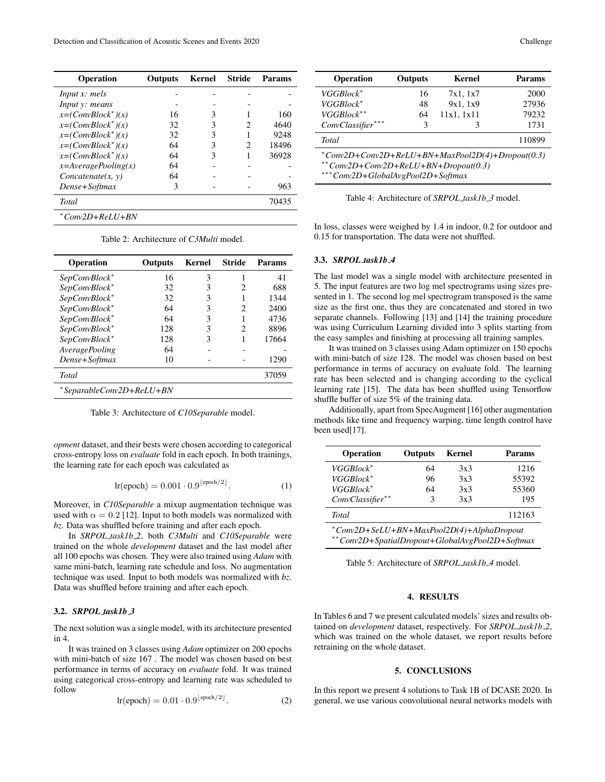| Outputs | Kernel | Stride | Params |
|---------|--------|--------|--------|
|         |        |        |        |
|         |        |        |        |
| 16      |        |        | 160    |
| 32      | 3      |        | 4640   |
| 32      | 3      |        | 9248   |
| 64      | 3      | 2      | 18496  |
| 64      | 3      |        | 36928  |
| 64      |        |        |        |
| 64      |        |        |        |
| 3       |        |        | 963    |
|         |        |        | 70435  |
|         |        |        |        |
|         |        |        |        |

Table 2: Architecture of *C3Multi* model.

| <b>Operation</b>         | Outputs | Kernel | Stride | Params |
|--------------------------|---------|--------|--------|--------|
| SepConvBlock*            | 16      | 3      |        | 41     |
| SepConvBlock*            | 32      | 3      | 2      | 688    |
| SepConvBlock*            | 32      | 3      |        | 1344   |
| SepConvBlock*            | 64      | 3      | 2      | 2400   |
| SepConvBlock*            | 64      | 3      |        | 4736   |
| SepConvBlock*            | 128     | 3      | 2      | 8896   |
| SepConvBlock*            | 128     | 3      |        | 17664  |
| <b>AveragePooling</b>    | 64      |        |        |        |
| Dense+Softmax            | 10      |        |        | 1290   |
| <b>Total</b>             |         |        |        | 37059  |
| *SeparableConv2D+ReLU+BN |         |        |        |        |

Table 3: Architecture of *C10Separable* model.

*opment* dataset, and their bests were chosen according to categorical cross-entropy loss on *evaluate* fold in each epoch. In both trainings, the learning rate for each epoch was calculated as

$$
\text{lr}(\text{epoch}) = 0.001 \cdot 0.9^{\lfloor \text{epoch}/2 \rfloor}.
$$
 (1)

Moreover, in *C10Separable* a mixup augmentation technique was used with  $\alpha = 0.2$  [12]. Input to both models was normalized with *bz*. Data was shuffled before training and after each epoch.

In *SRPOL task1b 2*, both *C3Multi* and *C10Separable* were trained on the whole *development* dataset and the last model after all 100 epochs was chosen. They were also trained using *Adam* with same mini-batch, learning rate schedule and loss. No augmentation technique was used. Input to both models was normalized with *bz*. Data was shuffled before training and after each epoch.

# 3.2. *SRPOL task1b 3*

The next solution was a single model, with its architecture presented in 4.

It was trained on 3 classes using *Adam* optimizer on 200 epochs with mini-batch of size 167 . The model was chosen based on best performance in terms of accuracy on *evaluate* fold. It was trained using categorical cross-entropy and learning rate was scheduled to follow

$$
\text{lr}(\text{epoch}) = 0.01 \cdot 0.9^{\lfloor \text{epoch}/2 \rfloor}.
$$
 (2)

| <b>Operation</b>                                                                               | <b>Outputs</b> | Kernel     | Params |  |  |
|------------------------------------------------------------------------------------------------|----------------|------------|--------|--|--|
| VGGBlock*                                                                                      | 16             | 7x1, 1x7   | 2000   |  |  |
| VGGBlock*                                                                                      | 48             | 9x1, 1x9   | 27936  |  |  |
| VGGBlock**                                                                                     | 64             | 11x1, 1x11 | 79232  |  |  |
| $ConvClassifier***$                                                                            | 3              | 3          | 1731   |  |  |
| <b>Total</b>                                                                                   |                |            | 110899 |  |  |
| $^*Conv2D+Conv2D+ReLU+BN+MaxPool2D(4)+Dropout(0.3)$<br>$*$ *Conv2D+Conv2D+ReLU+BN+Dropout(0.3) |                |            |        |  |  |

∗∗∗*Conv2D+GlobalAvgPool2D+Softmax*

Table 4: Architecture of *SRPOL task1b 3* model.

In loss, classes were weighed by 1.4 in indoor, 0.2 for outdoor and 0.15 for transportation. The data were not shuffled.

### 3.3. *SRPOL task1b 4*

The last model was a single model with architecture presented in 5. The input features are two log mel spectrograms using sizes presented in 1. The second log mel spectrogram transposed is the same size as the first one, thus they are concatenated and stored in two separate channels. Following [13] and [14] the training procedure was using Curriculum Learning divided into 3 splits starting from the easy samples and finishing at processing all training samples.

It was trained on 3 classes using Adam optimizer on 150 epochs with mini-batch of size 128. The model was chosen based on best performance in terms of accuracy on evaluate fold. The learning rate has been selected and is changing according to the cyclical learning rate [15]. The data has been shuffled using Tensorflow shuffle buffer of size 5% of the training data.

Additionally, apart from SpecAugment [16] other augmentation methods like time and frequency warping, time length control have been used[17].

| Operation                                                                                    | <b>Outputs</b> | <b>Kernel</b> | Params |  |
|----------------------------------------------------------------------------------------------|----------------|---------------|--------|--|
| VGGBlock*                                                                                    | 64             | 3x3           | 1216   |  |
| VGGBlock*                                                                                    | 96             | 3x3           | 55392  |  |
| $VGGBlock^*$                                                                                 | 64             | 3x3           | 55360  |  |
| ConvClassifier**                                                                             | 3              | 3x3           | 195    |  |
| <b>Total</b>                                                                                 |                |               | 112163 |  |
| *Conv2D+SeLU+BN+MaxPool2D(4)+AlphaDropout<br>**Conv2D+SpatialDropout+GlobalAvgPool2D+Softmax |                |               |        |  |

Table 5: Architecture of *SRPOL task1b 4* model.

# 4. RESULTS

In Tables 6 and 7 we present calculated models' sizes and results obtained on *development* dataset, respectively. For *SRPOL task1b 2*, which was trained on the whole dataset, we report results before retraining on the whole dataset.

# 5. CONCLUSIONS

In this report we present 4 solutions to Task 1B of DCASE 2020. In general, we use various convolutional neural networks models with